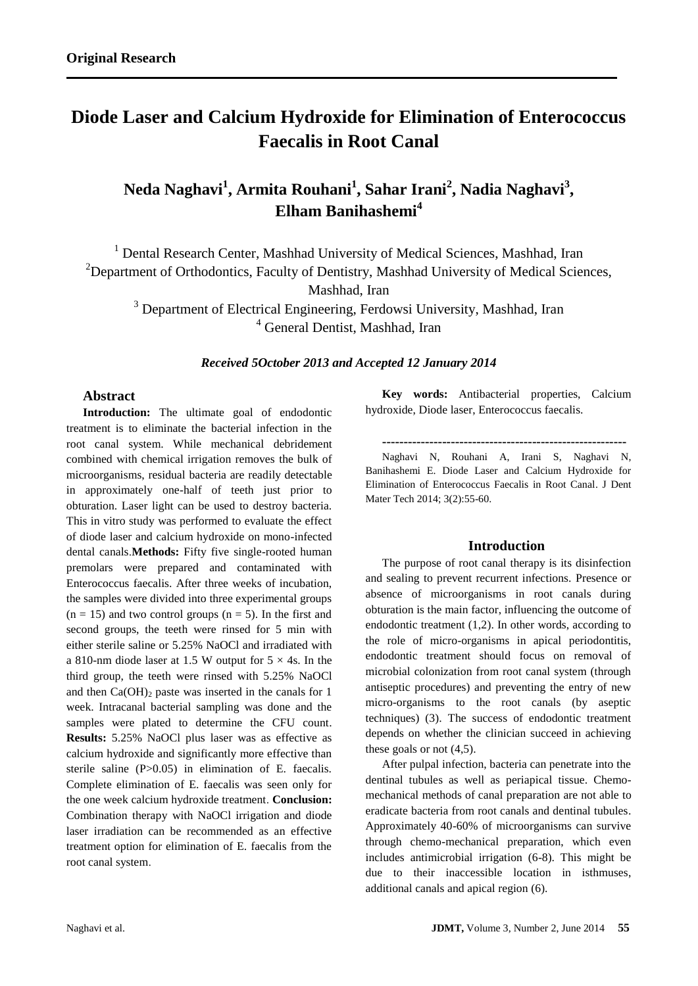# **Diode Laser and Calcium Hydroxide for Elimination of Enterococcus Faecalis in Root Canal**

# **Neda Naghavi<sup>1</sup> , Armita Rouhani<sup>1</sup> , Sahar Irani<sup>2</sup> , Nadia Naghavi<sup>3</sup> , Elham Banihashemi<sup>4</sup>**

<sup>1</sup> Dental Research Center, Mashhad University of Medical Sciences, Mashhad, Iran <sup>2</sup>Department of Orthodontics, Faculty of Dentistry, Mashhad University of Medical Sciences, Mashhad, Iran <sup>3</sup> Department of Electrical Engineering, Ferdowsi University, Mashhad, Iran

<sup>4</sup> General Dentist, Mashhad, Iran

*Received 5October 2013 and Accepted 12 January 2014*

# **Abstract**

**Introduction:** The ultimate goal of endodontic treatment is to eliminate the bacterial infection in the root canal system. While mechanical debridement combined with chemical irrigation removes the bulk of microorganisms, residual bacteria are readily detectable in approximately one-half of teeth just prior to obturation. Laser light can be used to destroy bacteria. This in vitro study was performed to evaluate the effect of diode laser and calcium hydroxide on mono-infected dental canals.**Methods:** Fifty five single-rooted human premolars were prepared and contaminated with Enterococcus faecalis. After three weeks of incubation, the samples were divided into three experimental groups  $(n = 15)$  and two control groups  $(n = 5)$ . In the first and second groups, the teeth were rinsed for 5 min with either sterile saline or 5.25% NaOCl and irradiated with a 810-nm diode laser at 1.5 W output for  $5 \times 4$ s. In the third group, the teeth were rinsed with 5.25% NaOCl and then  $Ca(OH)_2$  paste was inserted in the canals for 1 week. Intracanal bacterial sampling was done and the samples were plated to determine the CFU count. **Results:** 5.25% NaOCl plus laser was as effective as calcium hydroxide and significantly more effective than sterile saline (P>0.05) in elimination of E. faecalis. Complete elimination of E. faecalis was seen only for the one week calcium hydroxide treatment. **Conclusion:** Combination therapy with NaOCl irrigation and diode laser irradiation can be recommended as an effective treatment option for elimination of E. faecalis from the root canal system.

**Key words:** Antibacterial properties, Calcium hydroxide, Diode laser, Enterococcus faecalis.

**---------------------------------------------------------**

Naghavi N, Rouhani A, Irani S, Naghavi N, Banihashemi E. Diode Laser and Calcium Hydroxide for Elimination of Enterococcus Faecalis in Root Canal. J Dent Mater Tech 2014; 3(2):55-60.

## **Introduction**

The purpose of root canal therapy is its disinfection and sealing to prevent recurrent infections. Presence or absence of microorganisms in root canals during obturation is the main factor, influencing the outcome of endodontic treatment (1,2). In other words, according to the role of micro-organisms in apical periodontitis, endodontic treatment should focus on removal of microbial colonization from root canal system (through antiseptic procedures) and preventing the entry of new micro-organisms to the root canals (by aseptic techniques) (3). The success of endodontic treatment depends on whether the clinician succeed in achieving these goals or not (4,5).

After pulpal infection, bacteria can penetrate into the dentinal tubules as well as periapical tissue. Chemomechanical methods of canal preparation are not able to eradicate bacteria from root canals and dentinal tubules. Approximately 40-60% of microorganisms can survive through chemo-mechanical preparation, which even includes antimicrobial irrigation (6-8). This might be due to their inaccessible location in isthmuses, additional canals and apical region (6).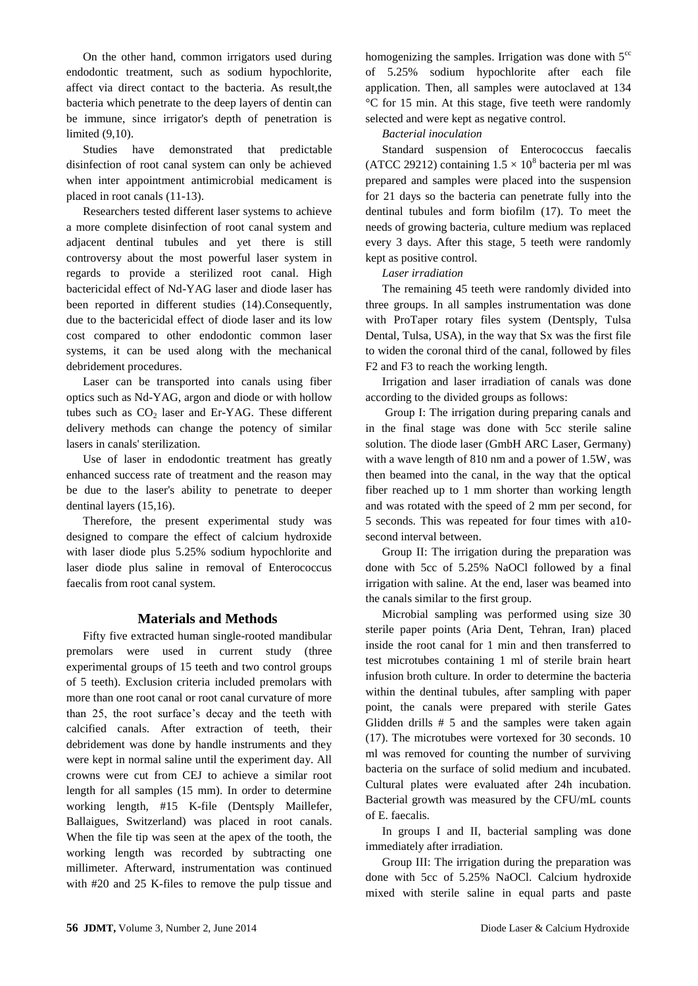On the other hand, common irrigators used during endodontic treatment, such as sodium hypochlorite, affect via direct contact to the bacteria. As result,the bacteria which penetrate to the deep layers of dentin can be immune, since irrigator's depth of penetration is limited (9,10).

Studies have demonstrated that predictable disinfection of root canal system can only be achieved when inter appointment antimicrobial medicament is placed in root canals (11-13).

Researchers tested different laser systems to achieve a more complete disinfection of root canal system and adjacent dentinal tubules and yet there is still controversy about the most powerful laser system in regards to provide a sterilized root canal. High bactericidal effect of Nd-YAG laser and diode laser has been reported in different studies (14).Consequently, due to the bactericidal effect of diode laser and its low cost compared to other endodontic common laser systems, it can be used along with the mechanical debridement procedures.

Laser can be transported into canals using fiber optics such as Nd-YAG, argon and diode or with hollow tubes such as  $CO<sub>2</sub>$  laser and Er-YAG. These different delivery methods can change the potency of similar lasers in canals' sterilization.

Use of laser in endodontic treatment has greatly enhanced success rate of treatment and the reason may be due to the laser's ability to penetrate to deeper dentinal layers (15,16).

Therefore, the present experimental study was designed to compare the effect of calcium hydroxide with laser diode plus 5.25% sodium hypochlorite and laser diode plus saline in removal of Enterococcus faecalis from root canal system.

# **Materials and Methods**

Fifty five extracted human single-rooted mandibular premolars were used in current study (three experimental groups of 15 teeth and two control groups of 5 teeth). Exclusion criteria included premolars with more than one root canal or root canal curvature of more than 25, the root surface's decay and the teeth with calcified canals. After extraction of teeth, their debridement was done by handle instruments and they were kept in normal saline until the experiment day. All crowns were cut from CEJ to achieve a similar root length for all samples (15 mm). In order to determine working length, #15 K-file (Dentsply Maillefer, Ballaigues, Switzerland) was placed in root canals. When the file tip was seen at the apex of the tooth, the working length was recorded by subtracting one millimeter. Afterward, instrumentation was continued with #20 and 25 K-files to remove the pulp tissue and homogenizing the samples. Irrigation was done with  $5^{\circ\circ}$ of 5.25% sodium hypochlorite after each file application. Then, all samples were autoclaved at 134 °C for 15 min. At this stage, five teeth were randomly selected and were kept as negative control.

#### *Bacterial inoculation*

Standard suspension of Enterococcus faecalis (ATCC 29212) containing  $1.5 \times 10^8$  bacteria per ml was prepared and samples were placed into the suspension for 21 days so the bacteria can penetrate fully into the dentinal tubules and form biofilm (17). To meet the needs of growing bacteria, culture medium was replaced every 3 days. After this stage, 5 teeth were randomly kept as positive control.

#### *Laser irradiation*

The remaining 45 teeth were randomly divided into three groups. In all samples instrumentation was done with ProTaper rotary files system (Dentsply, Tulsa Dental, Tulsa, USA), in the way that Sx was the first file to widen the coronal third of the canal, followed by files F2 and F3 to reach the working length.

Irrigation and laser irradiation of canals was done according to the divided groups as follows:

Group I: The irrigation during preparing canals and in the final stage was done with 5cc sterile saline solution. The diode laser (GmbH ARC Laser, Germany) with a wave length of 810 nm and a power of 1.5W, was then beamed into the canal, in the way that the optical fiber reached up to 1 mm shorter than working length and was rotated with the speed of 2 mm per second, for 5 seconds. This was repeated for four times with a10 second interval between.

Group II: The irrigation during the preparation was done with 5cc of 5.25% NaOCl followed by a final irrigation with saline. At the end, laser was beamed into the canals similar to the first group.

Microbial sampling was performed using size 30 sterile paper points (Aria Dent, Tehran, Iran) placed inside the root canal for 1 min and then transferred to test microtubes containing 1 ml of sterile brain heart infusion broth culture. In order to determine the bacteria within the dentinal tubules, after sampling with paper point, the canals were prepared with sterile Gates Glidden drills # 5 and the samples were taken again (17). The microtubes were vortexed for 30 seconds. 10 ml was removed for counting the number of surviving bacteria on the surface of solid medium and incubated. Cultural plates were evaluated after 24h incubation. Bacterial growth was measured by the CFU/mL counts of E. faecalis.

In groups I and II, bacterial sampling was done immediately after irradiation.

Group III: The irrigation during the preparation was done with 5cc of 5.25% NaOCl. Calcium hydroxide mixed with sterile saline in equal parts and paste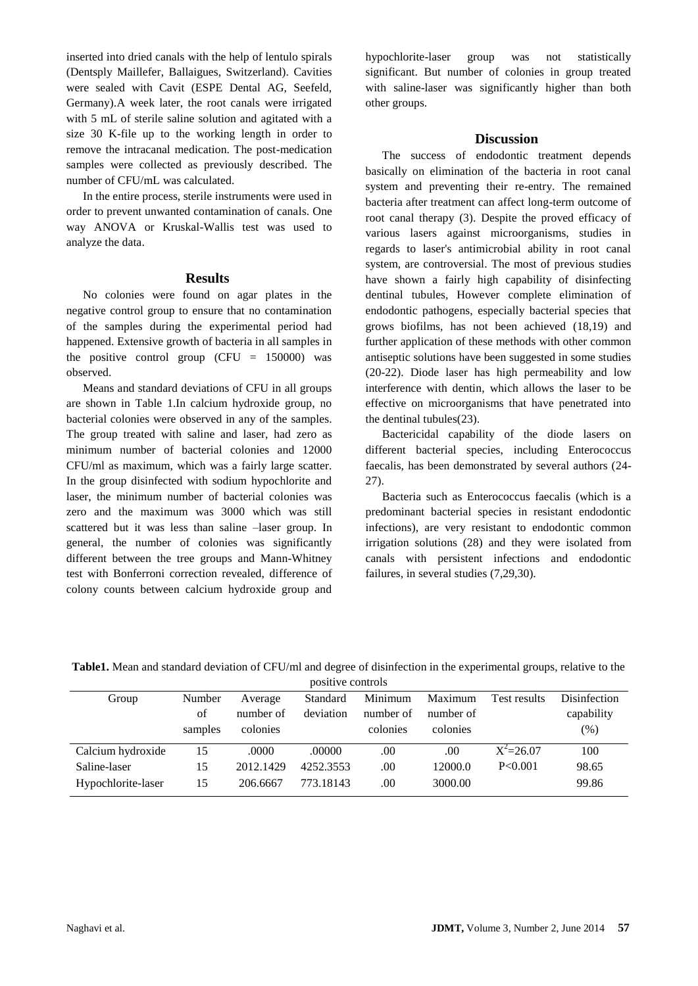inserted into dried canals with the help of lentulo spirals (Dentsply Maillefer, Ballaigues, Switzerland). Cavities were sealed with Cavit (ESPE Dental AG, Seefeld, Germany).A week later, the root canals were irrigated with 5 mL of sterile saline solution and agitated with a size 30 K-file up to the working length in order to remove the intracanal medication. The post-medication samples were collected as previously described. The number of CFU/mL was calculated.

In the entire process, sterile instruments were used in order to prevent unwanted contamination of canals. One way ANOVA or Kruskal-Wallis test was used to analyze the data.

#### **Results**

No colonies were found on agar plates in the negative control group to ensure that no contamination of the samples during the experimental period had happened. Extensive growth of bacteria in all samples in the positive control group (CFU  $= 150000$ ) was observed.

Means and standard deviations of CFU in all groups are shown in Table 1.In calcium hydroxide group, no bacterial colonies were observed in any of the samples. The group treated with saline and laser, had zero as minimum number of bacterial colonies and 12000 CFU/ml as maximum, which was a fairly large scatter. In the group disinfected with sodium hypochlorite and laser, the minimum number of bacterial colonies was zero and the maximum was 3000 which was still scattered but it was less than saline –laser group. In general, the number of colonies was significantly different between the tree groups and Mann-Whitney test with Bonferroni correction revealed, difference of colony counts between calcium hydroxide group and

hypochlorite-laser group was not statistically significant. But number of colonies in group treated with saline-laser was significantly higher than both other groups.

#### **Discussion**

The success of endodontic treatment depends basically on elimination of the bacteria in root canal system and preventing their re-entry. The remained bacteria after treatment can affect long-term outcome of root canal therapy (3). Despite the proved efficacy of various lasers against microorganisms, studies in regards to laser's antimicrobial ability in root canal system, are controversial. The most of previous studies have shown a fairly high capability of disinfecting dentinal tubules, However complete elimination of endodontic pathogens, especially bacterial species that grows biofilms, has not been achieved (18,19) and further application of these methods with other common antiseptic solutions have been suggested in some studies (20-22). Diode laser has high permeability and low interference with dentin, which allows the laser to be effective on microorganisms that have penetrated into the dentinal tubules(23).

Bactericidal capability of the diode lasers on different bacterial species, including Enterococcus faecalis, has been demonstrated by several authors (24- 27).

Bacteria such as Enterococcus faecalis (which is a predominant bacterial species in resistant endodontic infections), are very resistant to endodontic common irrigation solutions (28) and they were isolated from canals with persistent infections and endodontic failures, in several studies (7,29,30).

| positive controls  |         |           |           |           |           |               |              |
|--------------------|---------|-----------|-----------|-----------|-----------|---------------|--------------|
| Group              | Number  | Average   | Standard  | Minimum   | Maximum   | Test results  | Disinfection |
|                    | of      | number of | deviation | number of | number of |               | capability   |
|                    | samples | colonies  |           | colonies  | colonies  |               | $(\%)$       |
| Calcium hydroxide  | 15      | .0000     | .00000    | .00       | .00.      | $X^2 = 26.07$ | 100          |
| Saline-laser       | 15      | 2012.1429 | 4252.3553 | .00       | 12000.0   | P < 0.001     | 98.65        |
| Hypochlorite-laser | 15      | 206.6667  | 773.18143 | .00       | 3000.00   |               | 99.86        |

**Table1.** Mean and standard deviation of CFU/ml and degree of disinfection in the experimental groups, relative to the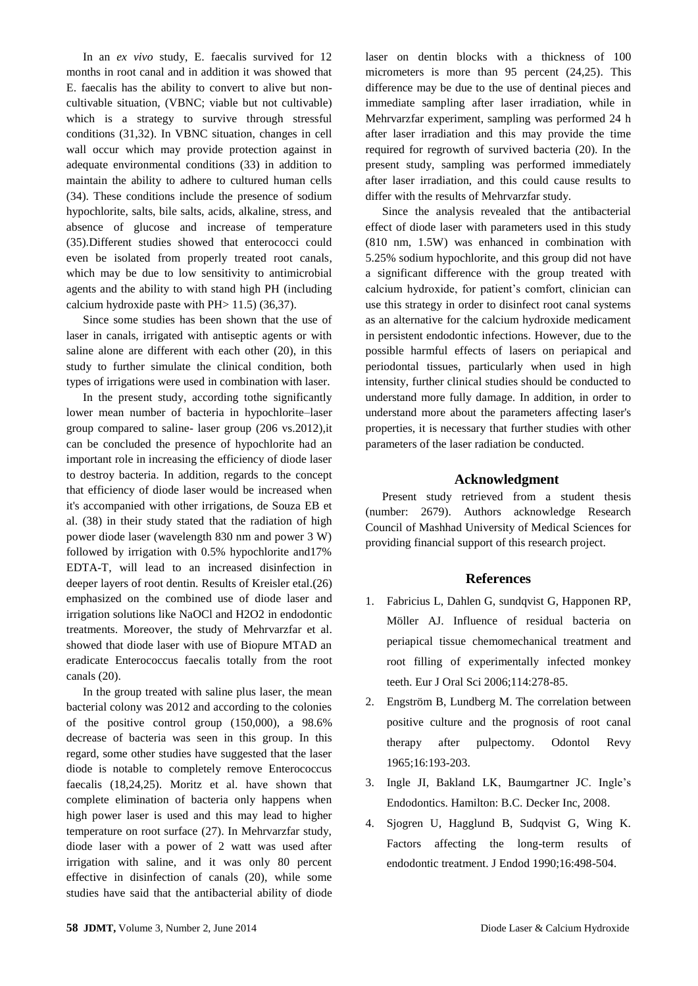In an *ex vivo* study, E. faecalis survived for 12 months in root canal and in addition it was showed that E. faecalis has the ability to convert to alive but noncultivable situation, (VBNC; viable but not cultivable) which is a strategy to survive through stressful conditions (31,32). In VBNC situation, changes in cell wall occur which may provide protection against in adequate environmental conditions (33) in addition to maintain the ability to adhere to cultured human cells (34). These conditions include the presence of sodium hypochlorite, salts, bile salts, acids, alkaline, stress, and absence of glucose and increase of temperature (35).Different studies showed that enterococci could even be isolated from properly treated root canals, which may be due to low sensitivity to antimicrobial agents and the ability to with stand high PH (including calcium hydroxide paste with PH> 11.5) (36,37).

Since some studies has been shown that the use of laser in canals, irrigated with antiseptic agents or with saline alone are different with each other (20), in this study to further simulate the clinical condition, both types of irrigations were used in combination with laser.

In the present study, according tothe significantly lower mean number of bacteria in hypochlorite–laser group compared to saline- laser group (206 vs.2012),it can be concluded the presence of hypochlorite had an important role in increasing the efficiency of diode laser to destroy bacteria. In addition, regards to the concept that efficiency of diode laser would be increased when it's accompanied with other irrigations, de Souza EB et al. (38) in their study stated that the radiation of high power diode laser (wavelength 830 nm and power 3 W) followed by irrigation with 0.5% hypochlorite and17% EDTA-T, will lead to an increased disinfection in deeper layers of root dentin. Results of Kreisler etal.(26) emphasized on the combined use of diode laser and irrigation solutions like NaOCl and H2O2 in endodontic treatments. Moreover, the study of Mehrvarzfar et al. showed that diode laser with use of Biopure MTAD an eradicate Enterococcus faecalis totally from the root canals (20).

In the group treated with saline plus laser, the mean bacterial colony was 2012 and according to the colonies of the positive control group (150,000), a 98.6% decrease of bacteria was seen in this group. In this regard, some other studies have suggested that the laser diode is notable to completely remove Enterococcus faecalis (18,24,25). Moritz et al. have shown that complete elimination of bacteria only happens when high power laser is used and this may lead to higher temperature on root surface (27). In Mehrvarzfar study, diode laser with a power of 2 watt was used after irrigation with saline, and it was only 80 percent effective in disinfection of canals (20), while some studies have said that the antibacterial ability of diode

laser on dentin blocks with a thickness of 100 micrometers is more than 95 percent (24,25). This difference may be due to the use of dentinal pieces and immediate sampling after laser irradiation, while in Mehrvarzfar experiment, sampling was performed 24 h after laser irradiation and this may provide the time required for regrowth of survived bacteria (20). In the present study, sampling was performed immediately after laser irradiation, and this could cause results to differ with the results of Mehrvarzfar study.

Since the analysis revealed that the antibacterial effect of diode laser with parameters used in this study (810 nm, 1.5W) was enhanced in combination with 5.25% sodium hypochlorite, and this group did not have a significant difference with the group treated with calcium hydroxide, for patient's comfort, clinician can use this strategy in order to disinfect root canal systems as an alternative for the calcium hydroxide medicament in persistent endodontic infections. However, due to the possible harmful effects of lasers on periapical and periodontal tissues, particularly when used in high intensity, further clinical studies should be conducted to understand more fully damage. In addition, in order to understand more about the parameters affecting laser's properties, it is necessary that further studies with other parameters of the laser radiation be conducted.

## **Acknowledgment**

Present study retrieved from a student thesis (number: 2679). Authors acknowledge Research Council of Mashhad University of Medical Sciences for providing financial support of this research project.

#### **References**

- 1. Fabricius L, Dahlen G, sundqvist G, Happonen RP, Möller AJ. Influence of residual bacteria on periapical tissue chemomechanical treatment and root filling of experimentally infected monkey teeth. Eur J Oral Sci 2006;114:278-85.
- 2. Engström B, Lundberg M. The correlation between positive culture and the prognosis of root canal therapy after pulpectomy. Odontol Revy 1965;16:193-203.
- 3. Ingle JI, Bakland LK, Baumgartner JC. Ingle's Endodontics. Hamilton: B.C. Decker Inc, 2008.
- 4. Sjogren U, Hagglund B, Sudqvist G, Wing K. Factors affecting the long-term results of endodontic treatment. J Endod 1990;16:498-504.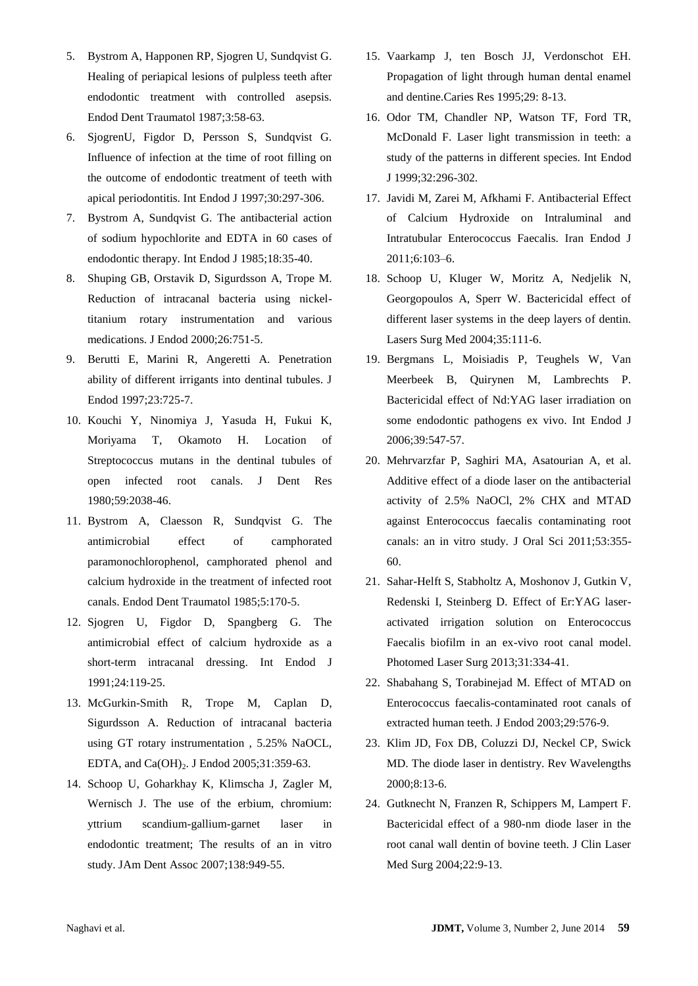- 5. Bystrom A, Happonen RP, Sjogren U, Sundqvist G. Healing of periapical lesions of pulpless teeth after endodontic treatment with controlled asepsis. Endod Dent Traumatol 1987;3:58-63.
- 6. SjogrenU, Figdor D, Persson S, Sundqvist G. Influence of infection at the time of root filling on the outcome of endodontic treatment of teeth with apical periodontitis. Int Endod J 1997;30:297-306.
- 7. Bystrom A, Sundqvist G. The antibacterial action of sodium hypochlorite and EDTA in 60 cases of endodontic therapy. Int Endod J 1985;18:35-40.
- 8. Shuping GB, Orstavik D, Sigurdsson A, Trope M. Reduction of intracanal bacteria using nickeltitanium rotary instrumentation and various medications. J Endod 2000;26:751-5.
- 9. Berutti E, Marini R, Angeretti A. Penetration ability of different irrigants into dentinal tubules. J Endod 1997;23:725-7.
- 10. Kouchi Y, Ninomiya J, Yasuda H, Fukui K, Moriyama T, Okamoto H. Location of Streptococcus mutans in the dentinal tubules of open infected root canals. J Dent Res 1980;59:2038-46.
- 11. Bystrom A, Claesson R, Sundqvist G. The antimicrobial effect of camphorated paramonochlorophenol, camphorated phenol and calcium hydroxide in the treatment of infected root canals. Endod Dent Traumatol 1985;5:170-5.
- 12. Sjogren U, Figdor D, Spangberg G. The antimicrobial effect of calcium hydroxide as a short-term intracanal dressing. Int Endod J 1991;24:119-25.
- 13. McGurkin-Smith R, Trope M, Caplan D, Sigurdsson A. Reduction of intracanal bacteria using GT rotary instrumentation , 5.25% NaOCL, EDTA, and Ca(OH)<sub>2</sub>. J Endod 2005;31:359-63.
- 14. Schoop U, Goharkhay K, Klimscha J, Zagler M, Wernisch J. The use of the erbium, chromium: yttrium scandium-gallium-garnet laser in endodontic treatment; The results of an in vitro study. JAm Dent Assoc 2007;138:949-55.
- 15. Vaarkamp J, ten Bosch JJ, Verdonschot EH. Propagation of light through human dental enamel and dentine.Caries Res 1995;29: 8-13.
- 16. Odor TM, Chandler NP, Watson TF, Ford TR, McDonald F. Laser light transmission in teeth: a study of the patterns in different species. Int Endod J 1999;32:296-302.
- 17. Javidi M, Zarei M, Afkhami F. Antibacterial Effect of Calcium Hydroxide on Intraluminal and Intratubular Enterococcus Faecalis. Iran Endod J 2011;6:103–6.
- 18. Schoop U, Kluger W, Moritz A, Nedjelik N, Georgopoulos A, Sperr W. Bactericidal effect of different laser systems in the deep layers of dentin. Lasers Surg Med 2004;35:111-6.
- 19. Bergmans L, Moisiadis P, Teughels W, Van Meerbeek B, Quirynen M, Lambrechts P. Bactericidal effect of Nd:YAG laser irradiation on some endodontic pathogens ex vivo. Int Endod J 2006;39:547-57.
- 20. Mehrvarzfar P, Saghiri MA, Asatourian A, et al. Additive effect of a diode laser on the antibacterial activity of 2.5% NaOCl, 2% CHX and MTAD against Enterococcus faecalis contaminating root canals: an in vitro study. J Oral Sci 2011;53:355- 60.
- 21. Sahar-Helft S, Stabholtz A, Moshonov J, Gutkin V, Redenski I, Steinberg D. Effect of Er:YAG laseractivated irrigation solution on Enterococcus Faecalis biofilm in an ex-vivo root canal model. Photomed Laser Surg 2013;31:334-41.
- 22. Shabahang S, Torabinejad M. Effect of MTAD on Enterococcus faecalis-contaminated root canals of extracted human teeth. J Endod 2003;29:576-9.
- 23. Klim JD, Fox DB, Coluzzi DJ, Neckel CP, Swick MD. The diode laser in dentistry. Rev Wavelengths 2000;8:13-6.
- 24. Gutknecht N, Franzen R, Schippers M, Lampert F. Bactericidal effect of a 980-nm diode laser in the root canal wall dentin of bovine teeth. J Clin Laser Med Surg 2004;22:9-13.